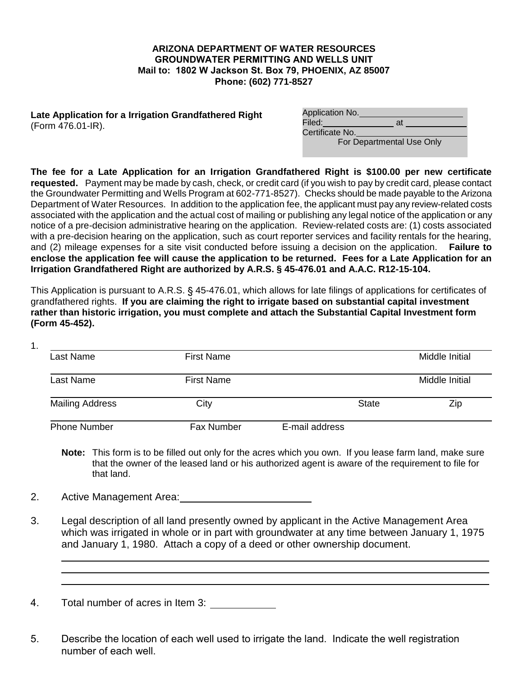## **ARIZONA DEPARTMENT OF WATER RESOURCES GROUNDWATER PERMITTING AND WELLS UNIT Mail to: 1802 W Jackson St. Box 79, PHOENIX, AZ 85007 Phone: (602) 771-8527**

**Late Application for a Irrigation Grandfathered Right**  (Form 476.01-IR).

| Application No. |    |  |
|-----------------|----|--|
| Filed:          | at |  |
| Certificate No. |    |  |

For Departmental Use Only

**The fee for a Late Application for an Irrigation Grandfathered Right is \$100.00 per new certificate requested.** Payment may be made by cash, check, or credit card (if you wish to pay by credit card, please contact the Groundwater Permitting and Wells Program at 602-771-8527). Checks should be made payable to the Arizona Department of Water Resources. In addition to the application fee, the applicant must pay any review-related costs associated with the application and the actual cost of mailing or publishing any legal notice of the application or any notice of a pre-decision administrative hearing on the application. Review-related costs are: (1) costs associated with a pre-decision hearing on the application, such as court reporter services and facility rentals for the hearing, and (2) mileage expenses for a site visit conducted before issuing a decision on the application. **Failure to enclose the application fee will cause the application to be returned. Fees for a Late Application for an Irrigation Grandfathered Right are authorized by A.R.S. § 45-476.01 and A.A.C. R12-15-104.**

This Application is pursuant to A.R.S. § 45-476.01, which allows for late filings of applications for certificates of grandfathered rights. **If you are claiming the right to irrigate based on substantial capital investment rather than historic irrigation, you must complete and attach the Substantial Capital Investment form (Form 45-452).**

1.

| Last Name              | <b>First Name</b> |                | Middle Initial |
|------------------------|-------------------|----------------|----------------|
| Last Name              | <b>First Name</b> |                | Middle Initial |
| <b>Mailing Address</b> | City              | <b>State</b>   | Zip            |
| <b>Phone Number</b>    | Fax Number        | E-mail address |                |

**Note:** This form is to be filled out only for the acres which you own. If you lease farm land, make sure that the owner of the leased land or his authorized agent is aware of the requirement to file for that land.

2. Active Management Area:

3. Legal description of all land presently owned by applicant in the Active Management Area which was irrigated in whole or in part with groundwater at any time between January 1, 1975 and January 1, 1980. Attach a copy of a deed or other ownership document.

4. Total number of acres in Item 3:  $\overline{\phantom{a}}$ 

5. Describe the location of each well used to irrigate the land. Indicate the well registration number of each well.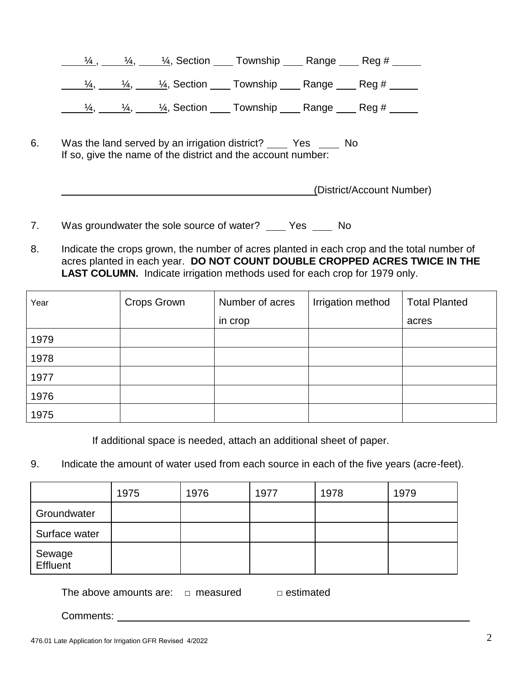|    |  | $\frac{1}{4}$ , $\frac{1}{4}$ , $\frac{1}{4}$ , Section Township Range Reg #                                                                                                            |  |  |
|----|--|-----------------------------------------------------------------------------------------------------------------------------------------------------------------------------------------|--|--|
|    |  | $\underline{\frac{1}{4}, \underline{\qquad 14}, \qquad \frac{1}{4}}$ , Section $\underline{\qquad}$ Township $\underline{\qquad}$ Range $\underline{\qquad}$ Reg # $\underline{\qquad}$ |  |  |
|    |  | $\underline{\frac{1}{4}, \underline{\qquad 14}, \qquad 14}}$ , Section ______ Township _______ Range ______ Reg # ______                                                                |  |  |
| 6. |  | Was the land served by an irrigation district? ______ Yes _____ No<br>If so, give the name of the district and the account number:                                                      |  |  |

| (District/Account Number) |
|---------------------------|
|---------------------------|

- 7. Was groundwater the sole source of water? Fig. Yes The No
- 8. Indicate the crops grown, the number of acres planted in each crop and the total number of acres planted in each year. **DO NOT COUNT DOUBLE CROPPED ACRES TWICE IN THE** LAST COLUMN. Indicate irrigation methods used for each crop for 1979 only.

| Year | <b>Crops Grown</b> | Number of acres | Irrigation method | <b>Total Planted</b> |
|------|--------------------|-----------------|-------------------|----------------------|
|      |                    | in crop         |                   | acres                |
| 1979 |                    |                 |                   |                      |
| 1978 |                    |                 |                   |                      |
| 1977 |                    |                 |                   |                      |
| 1976 |                    |                 |                   |                      |
| 1975 |                    |                 |                   |                      |

If additional space is needed, attach an additional sheet of paper.

9. Indicate the amount of water used from each source in each of the five years (acre-feet).

|                    | 1975 | 1976 | 1977 | 1978 | 1979 |
|--------------------|------|------|------|------|------|
| Groundwater        |      |      |      |      |      |
| Surface water      |      |      |      |      |      |
| Sewage<br>Effluent |      |      |      |      |      |

The above amounts are:  $\Box$  measured  $\Box$  estimated

Comments: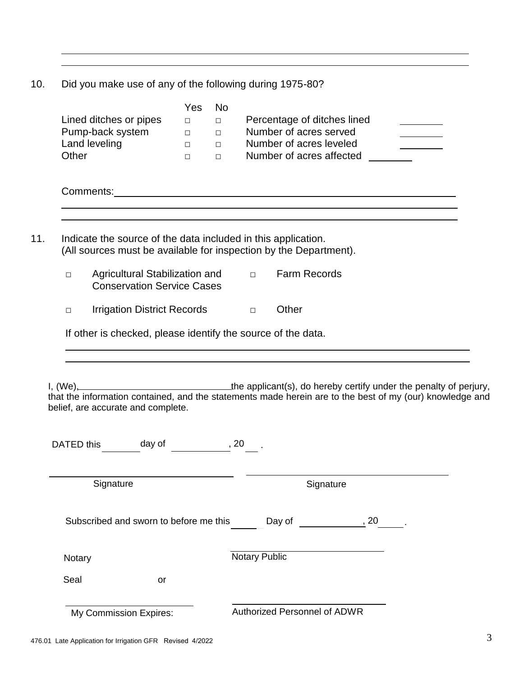10. Did you make use of any of the following during 1975-80?

|                                                                                                                 | <b>Yes</b>       | No.              |                                                                                                                                                                                                                                |  |
|-----------------------------------------------------------------------------------------------------------------|------------------|------------------|--------------------------------------------------------------------------------------------------------------------------------------------------------------------------------------------------------------------------------|--|
| Lined ditches or pipes                                                                                          | $\Box$           | $\Box$           | Percentage of ditches lined                                                                                                                                                                                                    |  |
| Pump-back system                                                                                                | $\Box$           | $\Box$           | Number of acres served                                                                                                                                                                                                         |  |
| Land leveling<br>Other                                                                                          | $\Box$<br>$\Box$ | $\Box$<br>$\Box$ | Number of acres leveled<br>Number of acres affected                                                                                                                                                                            |  |
|                                                                                                                 |                  |                  |                                                                                                                                                                                                                                |  |
|                                                                                                                 |                  |                  | Comments: example of the state of the state of the state of the state of the state of the state of the state of the state of the state of the state of the state of the state of the state of the state of the state of the st |  |
| Indicate the source of the data included in this application.                                                   |                  |                  | (All sources must be available for inspection by the Department).                                                                                                                                                              |  |
| Agricultural Stabilization and $\Box$<br>$\Box$<br><b>Conservation Service Cases</b>                            |                  |                  | <b>Farm Records</b>                                                                                                                                                                                                            |  |
| Irrigation District Records Dunner<br>$\Box$                                                                    |                  |                  | Other                                                                                                                                                                                                                          |  |
|                                                                                                                 |                  |                  |                                                                                                                                                                                                                                |  |
| If other is checked, please identify the source of the data.                                                    |                  |                  |                                                                                                                                                                                                                                |  |
| belief, are accurate and complete.                                                                              |                  |                  | I, (We), the applicant(s), do hereby certify under the penalty of perjury, that the information contained, and the statements made herein are to the best of my (our) knowledge and                                            |  |
| DATED this day of the set of the set of the set of the set of the set of the set of the set of the set of the s |                  |                  |                                                                                                                                                                                                                                |  |
| Signature                                                                                                       |                  |                  | Signature                                                                                                                                                                                                                      |  |
|                                                                                                                 |                  |                  | Subscribed and sworn to before me this Day of 50 and 50 and 50 and 50 and 50 and 50 and 50 and 50 and 50 and 50 and 50 and 50 and 50 and 50 and 50 and 50 and 50 and 50 and 50 and 50 and 50 and 50 and 50 and 50 and 50 and 5 |  |
| Notary                                                                                                          |                  |                  | <b>Notary Public</b>                                                                                                                                                                                                           |  |
| Seal<br>or                                                                                                      |                  |                  |                                                                                                                                                                                                                                |  |
|                                                                                                                 |                  |                  |                                                                                                                                                                                                                                |  |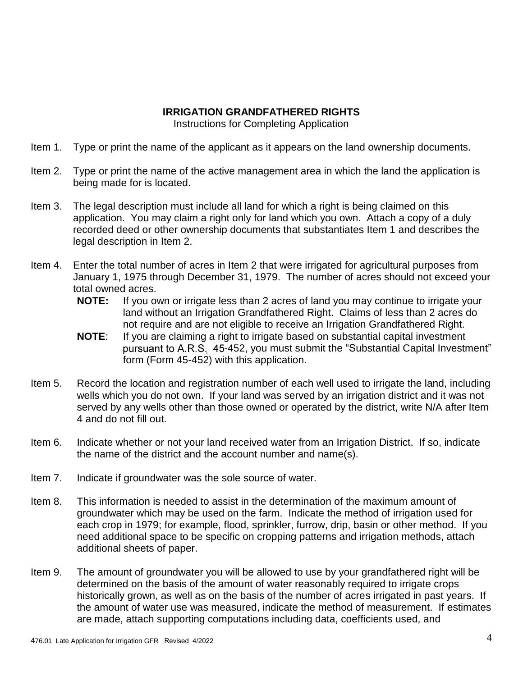## **IRRIGATION GRANDFATHERED RIGHTS**

Instructions for Completing Application

- Item 1. Type or print the name of the applicant as it appears on the land ownership documents.
- Item 2. Type or print the name of the active management area in which the land the application is being made for is located.
- Item 3. The legal description must include all land for which a right is being claimed on this application. You may claim a right only for land which you own. Attach a copy of a duly recorded deed or other ownership documents that substantiates Item 1 and describes the legal description in Item 2.
- Item 4. Enter the total number of acres in Item 2 that were irrigated for agricultural purposes from January 1, 1975 through December 31, 1979. The number of acres should not exceed your total owned acres.
	- **NOTE:** If you own or irrigate less than 2 acres of land you may continue to irrigate your land without an Irrigation Grandfathered Right. Claims of less than 2 acres do not require and are not eligible to receive an Irrigation Grandfathered Right.
	- **NOTE**: If you are claiming a right to irrigate based on substantial capital investment pursuant to A.R.S. 45-452, you must submit the "Substantial Capital Investment" form (Form 45-452) with this application.
- Item 5. Record the location and registration number of each well used to irrigate the land, including wells which you do not own. If your land was served by an irrigation district and it was not served by any wells other than those owned or operated by the district, write N/A after Item 4 and do not fill out.
- Item 6. Indicate whether or not your land received water from an Irrigation District. If so, indicate the name of the district and the account number and name(s).
- Item 7. Indicate if groundwater was the sole source of water.
- Item 8. This information is needed to assist in the determination of the maximum amount of groundwater which may be used on the farm. Indicate the method of irrigation used for each crop in 1979; for example, flood, sprinkler, furrow, drip, basin or other method. If you need additional space to be specific on cropping patterns and irrigation methods, attach additional sheets of paper.
- Item 9. The amount of groundwater you will be allowed to use by your grandfathered right will be determined on the basis of the amount of water reasonably required to irrigate crops historically grown, as well as on the basis of the number of acres irrigated in past years. If the amount of water use was measured, indicate the method of measurement. If estimates are made, attach supporting computations including data, coefficients used, and